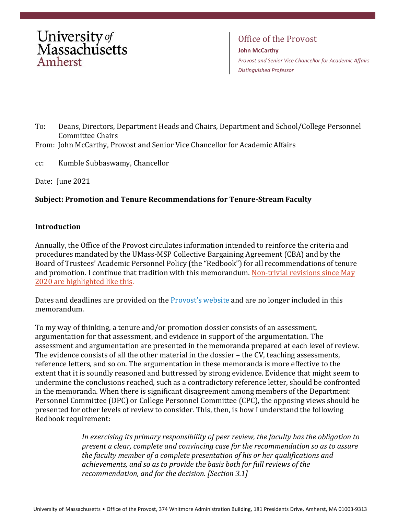

Office of the Provost **John McCarthy** *Provost and Senior Vice Chancellor for Academic Affairs Distinguished Professor*

- To: Deans, Directors, Department Heads and Chairs, Department and School/College Personnel Committee Chairs
- From: John McCarthy, Provost and Senior Vice Chancellor for Academic Affairs
- cc: Kumble Subbaswamy, Chancellor

Date: June 2021

# **Subject: Promotion and Tenure Recommendations for Tenure-Stream Faculty**

#### **Introduction**

Annually, the Office of the Provost circulates information intended to reinforce the criteria and procedures mandated by the UMass-MSP Collective Bargaining Agreement (CBA) and by the Board of Trustees' Academic Personnel Policy (the "Redbook") for all recommendations of tenure and promotion. I continue that tradition with this memorandum. Non-trivial revisions since May 2020 are highlighted like this.

Dates and deadlines are provided on the [Provost's website](https://www.umass.edu/provost/dates-and-deadlines) and are no longer included in this memorandum.

To my way of thinking, a tenure and/or promotion dossier consists of an assessment, argumentation for that assessment, and evidence in support of the argumentation. The assessment and argumentation are presented in the memoranda prepared at each level of review. The evidence consists of all the other material in the dossier – the CV, teaching assessments, reference letters, and so on. The argumentation in these memoranda is more effective to the extent that it is soundly reasoned and buttressed by strong evidence. Evidence that might seem to undermine the conclusions reached, such as a contradictory reference letter, should be confronted in the memoranda. When there is significant disagreement among members of the Department Personnel Committee (DPC) or College Personnel Committee (CPC), the opposing views should be presented for other levels of review to consider. This, then, is how I understand the following Redbook requirement:

> *In exercising its primary responsibility of peer review, the faculty has the obligation to present a clear, complete and convincing case for the recommendation so as to assure the faculty member of a complete presentation of his or her qualifications and achievements, and so as to provide the basis both for full reviews of the recommendation, and for the decision. [Section 3.1]*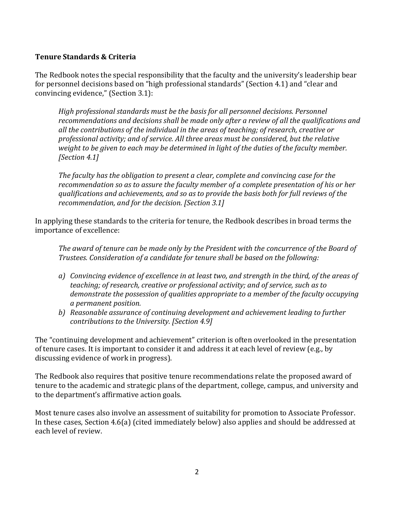#### **Tenure Standards & Criteria**

The Redbook notes the special responsibility that the faculty and the university's leadership bear for personnel decisions based on "high professional standards" (Section 4.1) and "clear and convincing evidence," (Section 3.1):

*High professional standards must be the basis for all personnel decisions. Personnel recommendations and decisions shall be made only after a review of all the qualifications and all the contributions of the individual in the areas of teaching; of research, creative or professional activity; and of service. All three areas must be considered, but the relative weight to be given to each may be determined in light of the duties of the faculty member. [Section 4.1]*

*The faculty has the obligation to present a clear, complete and convincing case for the recommendation so as to assure the faculty member of a complete presentation of his or her qualifications and achievements, and so as to provide the basis both for full reviews of the recommendation, and for the decision. [Section 3.1]*

In applying these standards to the criteria for tenure, the Redbook describes in broad terms the importance of excellence:

*The award of tenure can be made only by the President with the concurrence of the Board of Trustees. Consideration of a candidate for tenure shall be based on the following:*

- *a) Convincing evidence of excellence in at least two, and strength in the third, of the areas of teaching; of research, creative or professional activity; and of service, such as to demonstrate the possession of qualities appropriate to a member of the faculty occupying a permanent position.*
- *b) Reasonable assurance of continuing development and achievement leading to further contributions to the University. [Section 4.9]*

The "continuing development and achievement" criterion is often overlooked in the presentation of tenure cases. It is important to consider it and address it at each level of review (e.g., by discussing evidence of work in progress).

The Redbook also requires that positive tenure recommendations relate the proposed award of tenure to the academic and strategic plans of the department, college, campus, and university and to the department's affirmative action goals.

Most tenure cases also involve an assessment of suitability for promotion to Associate Professor. In these cases, Section 4.6(a) (cited immediately below) also applies and should be addressed at each level of review.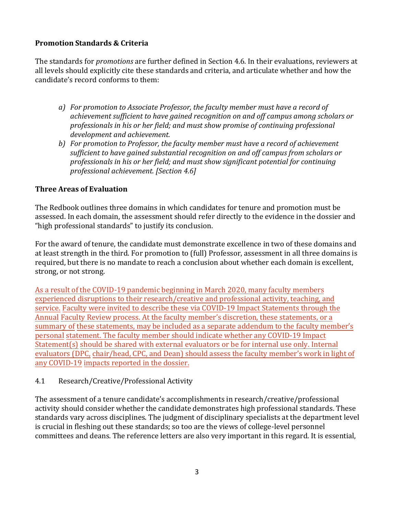# **Promotion Standards & Criteria**

The standards for *promotions* are further defined in Section 4.6. In their evaluations, reviewers at all levels should explicitly cite these standards and criteria, and articulate whether and how the candidate's record conforms to them:

- *a) For promotion to Associate Professor, the faculty member must have a record of achievement sufficient to have gained recognition on and off campus among scholars or professionals in his or her field; and must show promise of continuing professional development and achievement.*
- *b) For promotion to Professor, the faculty member must have a record of achievement sufficient to have gained substantial recognition on and off campus from scholars or professionals in his or her field; and must show significant potential for continuing professional achievement. [Section 4.6]*

# **Three Areas of Evaluation**

The Redbook outlines three domains in which candidates for tenure and promotion must be assessed. In each domain, the assessment should refer directly to the evidence in the dossier and "high professional standards" to justify its conclusion.

For the award of tenure, the candidate must demonstrate excellence in two of these domains and at least strength in the third. For promotion to (full) Professor, assessment in all three domains is required, but there is no mandate to reach a conclusion about whether each domain is excellent, strong, or not strong.

As a result of the COVID-19 pandemic beginning in March 2020, many faculty members experienced disruptions to their research/creative and professional activity, teaching, and service. Faculty were invited to describe these via COVID-19 Impact Statements through the Annual Faculty Review process. At the faculty member's discretion, these statements, or a summary of these statements, may be included as a separate addendum to the faculty member's personal statement. The faculty member should indicate whether any COVID-19 Impact Statement(s) should be shared with external evaluators or be for internal use only. Internal evaluators (DPC, chair/head, CPC, and Dean) should assess the faculty member's work in light of any COVID-19 impacts reported in the dossier.

# 4.1 Research/Creative/Professional Activity

The assessment of a tenure candidate's accomplishments in research/creative/professional activity should consider whether the candidate demonstrates high professional standards. These standards vary across disciplines. The judgment of disciplinary specialists at the department level is crucial in fleshing out these standards; so too are the views of college-level personnel committees and deans. The reference letters are also very important in this regard. It is essential,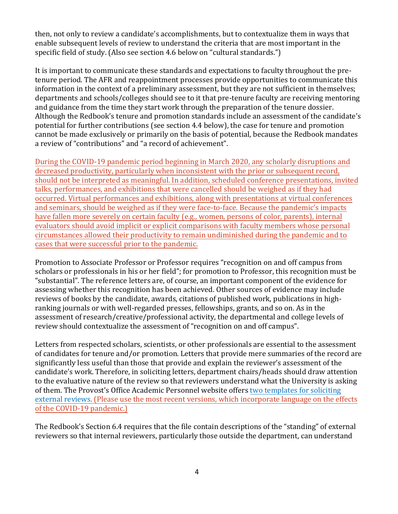then, not only to review a candidate's accomplishments, but to contextualize them in ways that enable subsequent levels of review to understand the criteria that are most important in the specific field of study. (Also see section 4.6 below on "cultural standards.")

It is important to communicate these standards and expectations to faculty throughout the pretenure period. The AFR and reappointment processes provide opportunities to communicate this information in the context of a preliminary assessment, but they are not sufficient in themselves; departments and schools/colleges should see to it that pre-tenure faculty are receiving mentoring and guidance from the time they start work through the preparation of the tenure dossier. Although the Redbook's tenure and promotion standards include an assessment of the candidate's potential for further contributions (see section 4.4 below), the case for tenure and promotion cannot be made exclusively or primarily on the basis of potential, because the Redbook mandates a review of "contributions" and "a record of achievement".

During the COVID-19 pandemic period beginning in March 2020, any scholarly disruptions and decreased productivity, particularly when inconsistent with the prior or subsequent record, should not be interpreted as meaningful. In addition, scheduled conference presentations, invited talks, performances, and exhibitions that were cancelled should be weighed as if they had occurred. Virtual performances and exhibitions, along with presentations at virtual conferences and seminars, should be weighed as if they were face-to-face. Because the pandemic's impacts have fallen more severely on certain faculty (e.g., women, persons of color, parents), internal evaluators should avoid implicit or explicit comparisons with faculty members whose personal circumstances allowed their productivity to remain undiminished during the pandemic and to cases that were successful prior to the pandemic.

Promotion to Associate Professor or Professor requires "recognition on and off campus from scholars or professionals in his or her field"; for promotion to Professor, this recognition must be "substantial". The reference letters are, of course, an important component of the evidence for assessing whether this recognition has been achieved. Other sources of evidence may include reviews of books by the candidate, awards, citations of published work, publications in highranking journals or with well-regarded presses, fellowships, grants, and so on. As in the assessment of research/creative/professional activity, the departmental and college levels of review should contextualize the assessment of "recognition on and off campus".

Letters from respected scholars, scientists, or other professionals are essential to the assessment of candidates for tenure and/or promotion. Letters that provide mere summaries of the record are significantly less useful than those that provide and explain the reviewer's assessment of the candidate's work. Therefore, in soliciting letters, department chairs/heads should draw attention to the evaluative nature of the review so that reviewers understand what the University is asking of them. The Provost's Office Academic Personnel website offer[s two templates for soliciting](https://www.umass.edu/provost/resources/all-resources/academic-personnel/reappointment-promotion-and-tenure) [external reviews.](https://www.umass.edu/provost/resources/all-resources/academic-personnel/reappointment-promotion-and-tenure) (Please use the most recent versions, which incorporate language on the effects of the COVID-19 pandemic.)

The Redbook's Section 6.4 requires that the file contain descriptions of the "standing" of external reviewers so that internal reviewers, particularly those outside the department, can understand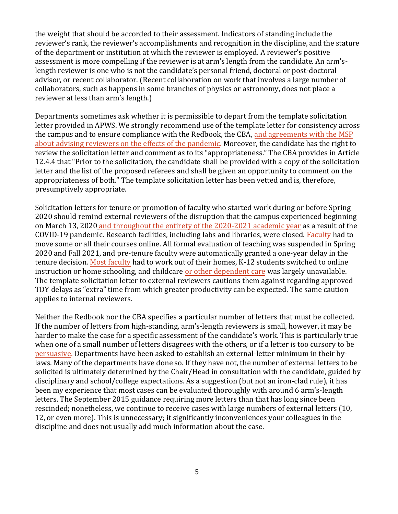the weight that should be accorded to their assessment. Indicators of standing include the reviewer's rank, the reviewer's accomplishments and recognition in the discipline, and the stature of the department or institution at which the reviewer is employed. A reviewer's positive assessment is more compelling if the reviewer is at arm's length from the candidate. An arm'slength reviewer is one who is not the candidate's personal friend, doctoral or post-doctoral advisor, or recent collaborator. (Recent collaboration on work that involves a large number of collaborators, such as happens in some branches of physics or astronomy, does not place a reviewer at less than arm's length.)

Departments sometimes ask whether it is permissible to depart from the template solicitation letter provided in APWS. We strongly recommend use of the template letter for consistency across the campus and to ensure compliance with the Redbook, the CBA, and agreements with the MSP about advising reviewers on the effects of the pandemic. Moreover, the candidate has the right to review the solicitation letter and comment as to its "appropriateness." The CBA provides in Article 12.4.4 that "Prior to the solicitation, the candidate shall be provided with a copy of the solicitation letter and the list of the proposed referees and shall be given an opportunity to comment on the appropriateness of both." The template solicitation letter has been vetted and is, therefore, presumptively appropriate.

Solicitation letters for tenure or promotion of faculty who started work during or before Spring 2020 should remind external reviewers of the disruption that the campus experienced beginning on March 13, 2020 and throughout the entirety of the 2020-2021 academic year as a result of the COVID-19 pandemic. Research facilities, including labs and libraries, were closed. Faculty had to move some or all their courses online. All formal evaluation of teaching was suspended in Spring 2020 and Fall 2021, and pre-tenure faculty were automatically granted a one-year delay in the tenure decision. Most faculty had to work out of their homes, K-12 students switched to online instruction or home schooling, and childcare or other dependent care was largely unavailable. The template solicitation letter to external reviewers cautions them against regarding approved TDY delays as "extra" time from which greater productivity can be expected. The same caution applies to internal reviewers.

Neither the Redbook nor the CBA specifies a particular number of letters that must be collected. If the number of letters from high-standing, arm's-length reviewers is small, however, it may be harder to make the case for a specific assessment of the candidate's work. This is particularly true when one of a small number of letters disagrees with the others, or if a letter is too cursory to be persuasive. Departments have been asked to establish an external-letter minimum in their bylaws. Many of the departments have done so. If they have not, the number of external letters to be solicited is ultimately determined by the Chair/Head in consultation with the candidate, guided by disciplinary and school/college expectations. As a suggestion (but not an iron-clad rule), it has been my experience that most cases can be evaluated thoroughly with around 6 arm's-length letters. The September 2015 guidance requiring more letters than that has long since been rescinded; nonetheless, we continue to receive cases with large numbers of external letters (10, 12, or even more). This is unnecessary; it significantly inconveniences your colleagues in the discipline and does not usually add much information about the case.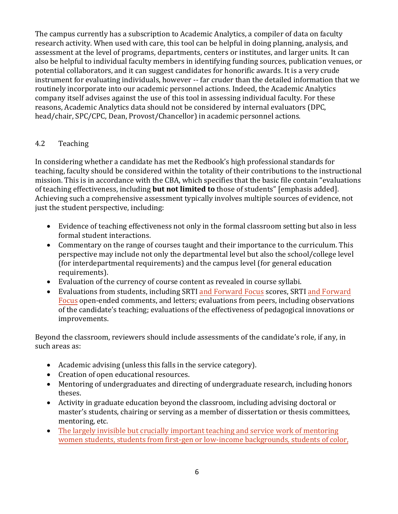The campus currently has a subscription to Academic Analytics, a compiler of data on faculty research activity. When used with care, this tool can be helpful in doing planning, analysis, and assessment at the level of programs, departments, centers or institutes, and larger units. It can also be helpful to individual faculty members in identifying funding sources, publication venues, or potential collaborators, and it can suggest candidates for honorific awards. It is a very crude instrument for evaluating individuals, however -- far cruder than the detailed information that we routinely incorporate into our academic personnel actions. Indeed, the Academic Analytics company itself advises against the use of this tool in assessing individual faculty. For these reasons, Academic Analytics data should not be considered by internal evaluators (DPC, head/chair, SPC/CPC, Dean, Provost/Chancellor) in academic personnel actions.

# 4.2 Teaching

In considering whether a candidate has met the Redbook's high professional standards for teaching, faculty should be considered within the totality of their contributions to the instructional mission. This is in accordance with the CBA, which specifies that the basic file contain "evaluations of teaching effectiveness, including **but not limited to** those of students" [emphasis added]. Achieving such a comprehensive assessment typically involves multiple sources of evidence, not just the student perspective, including:

- Evidence of teaching effectiveness not only in the formal classroom setting but also in less formal student interactions.
- Commentary on the range of courses taught and their importance to the curriculum. This perspective may include not only the departmental level but also the school/college level (for interdepartmental requirements) and the campus level (for general education requirements).
- Evaluation of the currency of course content as revealed in course syllabi.
- Evaluations from students, including SRTI and Forward Focus scores, SRTI and Forward Focus open-ended comments, and letters; evaluations from peers, including observations of the candidate's teaching; evaluations of the effectiveness of pedagogical innovations or improvements.

Beyond the classroom, reviewers should include assessments of the candidate's role, if any, in such areas as:

- Academic advising (unless this falls in the service category).
- Creation of open educational resources.
- Mentoring of undergraduates and directing of undergraduate research, including honors theses.
- Activity in graduate education beyond the classroom, including advising doctoral or master's students, chairing or serving as a member of dissertation or thesis committees, mentoring, etc.
- The largely invisible but crucially important teaching and service work of mentoring women students, students from first-gen or low-income backgrounds, students of color,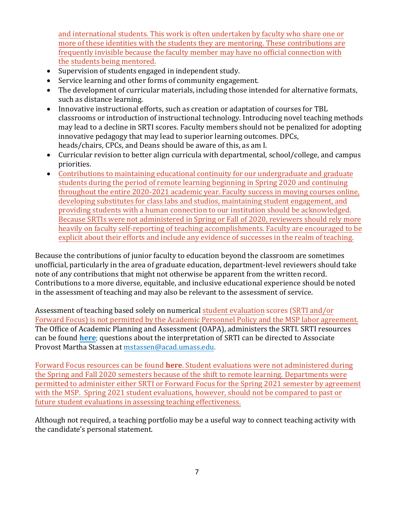and international students. This work is often undertaken by faculty who share one or more of these identities with the students they are mentoring. These contributions are frequently invisible because the faculty member may have no official connection with the students being mentored.

- Supervision of students engaged in independent study.
- Service learning and other forms of community engagement.
- The development of curricular materials, including those intended for alternative formats, such as distance learning.
- Innovative instructional efforts, such as creation or adaptation of courses for TBL classrooms or introduction of instructional technology. Introducing novel teaching methods may lead to a decline in SRTI scores. Faculty members should not be penalized for adopting innovative pedagogy that may lead to superior learning outcomes. DPCs, heads/chairs, CPCs, and Deans should be aware of this, as am I.
- Curricular revision to better align curricula with departmental, school/college, and campus priorities.
- Contributions to maintaining educational continuity for our undergraduate and graduate students during the period of remote learning beginning in Spring 2020 and continuing throughout the entire 2020-2021 academic year. Faculty success in moving courses online, developing substitutes for class labs and studios, maintaining student engagement, and providing students with a human connection to our institution should be acknowledged. Because SRTIs were not administered in Spring or Fall of 2020, reviewers should rely more heavily on faculty self-reporting of teaching accomplishments. Faculty are encouraged to be explicit about their efforts and include any evidence of successes in the realm of teaching.

Because the contributions of junior faculty to education beyond the classroom are sometimes unofficial, particularly in the area of graduate education, department-level reviewers should take note of any contributions that might not otherwise be apparent from the written record. Contributions to a more diverse, equitable, and inclusive educational experience should be noted in the assessment of teaching and may also be relevant to the assessment of service.

Assessment of teaching based solely on numerical student evaluation scores (SRTI and/or Forward Focus) is not permitted by the Academic Personnel Policy and the MSP labor agreement. The Office of Academic Planning and Assessment (OAPA), administers the SRTI. SRTI resources can be found **[here](http://www.umass.edu/oapa/srti/perform.php)**; questions about the interpretation of SRTI can be directed to Associate Provost Martha S[tassen at mstassen@acad.uma](mailto:mstassen@acad.umass.edu)ss.edu.

Forward Focus resources can be found **[here](https://www.umass.edu/ctl/forward-focus)**. Student evaluations were not administered during the Spring and Fall 2020 semesters because of the shift to remote learning. Departments were permitted to administer either SRTI or Forward Focus for the Spring 2021 semester by agreement with the MSP. Spring 2021 student evaluations, however, should not be compared to past or future student evaluations in assessing teaching effectiveness.

Although not required, a teaching portfolio may be a useful way to connect teaching activity with the candidate's personal statement.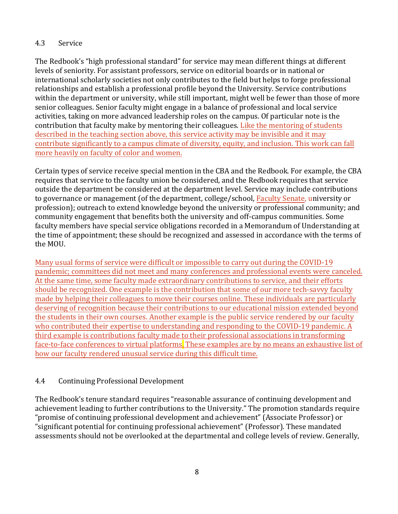#### 4.3 Service

The Redbook's "high professional standard" for service may mean different things at different levels of seniority. For assistant professors, service on editorial boards or in national or international scholarly societies not only contributes to the field but helps to forge professional relationships and establish a professional profile beyond the University. Service contributions within the department or university, while still important, might well be fewer than those of more senior colleagues. Senior faculty might engage in a balance of professional and local service activities, taking on more advanced leadership roles on the campus. Of particular note is the contribution that faculty make by mentoring their colleagues. Like the mentoring of students described in the teaching section above, this service activity may be invisible and it may contribute significantly to a campus climate of diversity, equity, and inclusion. This work can fall more heavily on faculty of color and women.

Certain types of service receive special mention in the CBA and the Redbook. For example, the CBA requires that service to the faculty union be considered, and the Redbook requires that service outside the department be considered at the department level. Service may include contributions to governance or management (of the department, college/school, Faculty Senate, university or profession); outreach to extend knowledge beyond the university or professional community; and community engagement that benefits both the university and off-campus communities. Some faculty members have special service obligations recorded in a Memorandum of Understanding at the time of appointment; these should be recognized and assessed in accordance with the terms of the MOU.

Many usual forms of service were difficult or impossible to carry out during the COVID-19 pandemic; committees did not meet and many conferences and professional events were canceled. At the same time, some faculty made extraordinary contributions to service, and their efforts should be recognized. One example is the contribution that some of our more tech-savvy faculty made by helping their colleagues to move their courses online. These individuals are particularly deserving of recognition because their contributions to our educational mission extended beyond the students in their own courses. Another example is the public service rendered by our faculty who contributed their expertise to understanding and responding to the COVID-19 pandemic. A third example is contributions faculty made to their professional associations in transforming face-to-face conferences to virtual platforms. These examples are by no means an exhaustive list of how our faculty rendered unusual service during this difficult time.

# 4.4 Continuing Professional Development

The Redbook's tenure standard requires "reasonable assurance of continuing development and achievement leading to further contributions to the University." The promotion standards require "promise of continuing professional development and achievement" (Associate Professor) or "significant potential for continuing professional achievement" (Professor). These mandated assessments should not be overlooked at the departmental and college levels of review. Generally,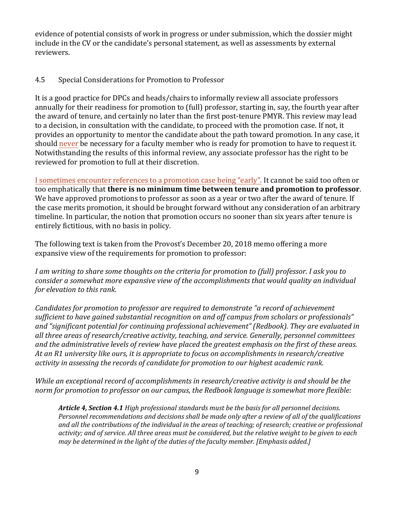evidence of potential consists of work in progress or under submission, which the dossier might include in the CV or the candidate's personal statement, as well as assessments by external reviewers.

#### 4.5 Special Considerations for Promotion to Professor

It is a good practice for DPCs and heads/chairs to informally review all associate professors annually for their readiness for promotion to (full) professor, starting in, say, the fourth year after the award of tenure, and certainly no later than the first post-tenure PMYR. This review may lead to a decision, in consultation with the candidate, to proceed with the promotion case. If not, it provides an opportunity to mentor the candidate about the path toward promotion. In any case, it should never be necessary for a faculty member who is ready for promotion to have to request it. Notwithstanding the results of this informal review, any associate professor has the right to be reviewed for promotion to full at their discretion.

I sometimes encounter references to a promotion case being "early". It cannot be said too often or too emphatically that **there is no minimum time between tenure and promotion to professor**. We have approved promotions to professor as soon as a year or two after the award of tenure. If the case merits promotion, it should be brought forward without any consideration of an arbitrary timeline. In particular, the notion that promotion occurs no sooner than six years after tenure is entirely fictitious, with no basis in policy.

The following text is taken from the Provost's December 20, 2018 memo offering a more expansive view of the requirements for promotion to professor:

*I am writing to share some thoughts on the criteria for promotion to (full) professor. I ask you to consider a somewhat more expansive view of the accomplishments that would quality an individual for elevation to this rank.* 

*Candidates for promotion to professor are required to demonstrate "a record of achievement sufficient to have gained substantial recognition on and off campus from scholars or professionals" and "significant potential for continuing professional achievement" (Redbook). They are evaluated in all three areas of research/creative activity, teaching, and service. Generally, personnel committees and the administrative levels of review have placed the greatest emphasis on the first of these areas. At an R1 university like ours, it is appropriate to focus on accomplishments in research/creative activity in assessing the records of candidate for promotion to our highest academic rank.* 

*While an exceptional record of accomplishments in research/creative activity is and should be the norm for promotion to professor on our campus, the Redbook language issomewhat more flexible:* 

*Article 4, Section 4.1 High professional standards must be the basis for all personnel decisions. Personnel recommendations and decisions shall be made only after a review of all of the qualifications and all the contributions of the individual in the areas of teaching; of research; creative or professional activity; and of service. All three areas must be considered, but the relative weight to be given to each may be determined in the light of the duties of the faculty member. [Emphasis added.]*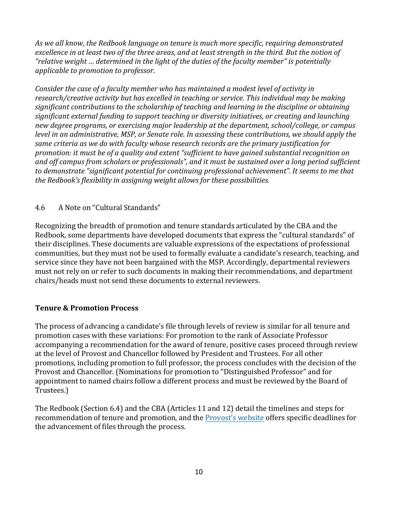*As we all know, the Redbook language on tenure is much more specific, requiring demonstrated excellence in at least two of the three areas, and at least strength in the third. But the notion of "relative weight … determined in the light of the duties of the faculty member" is potentially applicable to promotion to professor.*

*Consider the case of a faculty member who has maintained a modest level of activity in research/creative activity but has excelled in teaching or service. This individual may be making significant contributions to the scholarship of teaching and learning in the discipline or obtaining significant external funding to support teaching or diversity initiatives, or creating and launching new degree programs, or exercising major leadership at the department, school/college, or campus level in an administrative, MSP, or Senate role. In assessing these contributions, we should apply the same criteria as we do with faculty whose research records are the primary justification for promotion: it must be of a quality and extent "sufficient to have gained substantial recognition on and off campus from scholars or professionals", and it must be sustained over a long period sufficient to demonstrate "significant potential for continuing professional achievement". It seems to me that the Redbook's flexibility in assigning weight allows for these possibilities.*

#### 4.6 A Note on "Cultural Standards"

Recognizing the breadth of promotion and tenure standards articulated by the CBA and the Redbook, some departments have developed documents that express the "cultural standards" of their disciplines. These documents are valuable expressions of the expectations of professional communities, but they must not be used to formally evaluate a candidate's research, teaching, and service since they have not been bargained with the MSP. Accordingly, departmental reviewers must not rely on or refer to such documents in making their recommendations, and department chairs/heads must not send these documents to external reviewers.

#### **Tenure & Promotion Process**

The process of advancing a candidate's file through levels of review is similar for all tenure and promotion cases with these variations: For promotion to the rank of Associate Professor accompanying a recommendation for the award of tenure, positive cases proceed through review at the level of Provost and Chancellor followed by President and Trustees. For all other promotions, including promotion to full professor, the process concludes with the decision of the Provost and Chancellor. (Nominations for promotion to "Distinguished Professor" and for appointment to named chairs follow a different process and must be reviewed by the Board of Trustees.)

The Redbook (Section 6.4) and the CBA (Articles 11 and 12) detail the timelines and steps for recommendation of tenure and promotion, and the [Provost's](https://www.umass.edu/provost/dates-and-deadlines) website offers specific deadlines for the advancement of files through the process.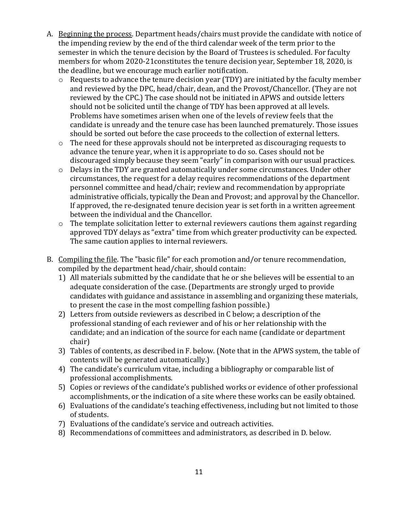- A. Beginning the process. Department heads/chairs must provide the candidate with notice of the impending review by the end of the third calendar week of the term prior to the semester in which the tenure decision by the Board of Trustees is scheduled. For faculty members for whom 2020-21constitutes the tenure decision year, September 18, 2020, is the deadline, but we encourage much earlier notification.
	- o Requests to advance the tenure decision year (TDY) are initiated by the faculty member and reviewed by the DPC, head/chair, dean, and the Provost/Chancellor. (They are not reviewed by the CPC.) The case should not be initiated in APWS and outside letters should not be solicited until the change of TDY has been approved at all levels. Problems have sometimes arisen when one of the levels of review feels that the candidate is unready and the tenure case has been launched prematurely. Those issues should be sorted out before the case proceeds to the collection of external letters.
	- o The need for these approvals should not be interpreted as discouraging requests to advance the tenure year, when it is appropriate to do so. Cases should not be discouraged simply because they seem "early" in comparison with our usual practices.
	- o Delays in the TDY are granted automatically under some circumstances. Under other circumstances, the request for a delay requires recommendations of the department personnel committee and head/chair; review and recommendation by appropriate administrative officials, typically the Dean and Provost; and approval by the Chancellor. If approved, the re-designated tenure decision year is set forth in a written agreement between the individual and the Chancellor.
	- o The template solicitation letter to external reviewers cautions them against regarding approved TDY delays as "extra" time from which greater productivity can be expected. The same caution applies to internal reviewers.
- B. Compiling the file. The "basic file" for each promotion and/or tenure recommendation, compiled by the department head/chair, should contain:
	- 1) All materials submitted by the candidate that he or she believes will be essential to an adequate consideration of the case. (Departments are strongly urged to provide candidates with guidance and assistance in assembling and organizing these materials, to present the case in the most compelling fashion possible.)
	- 2) Letters from outside reviewers as described in C below; a description of the professional standing of each reviewer and of his or her relationship with the candidate; and an indication of the source for each name (candidate or department chair)
	- 3) Tables of contents, as described in F. below. (Note that in the APWS system, the table of contents will be generated automatically.)
	- 4) The candidate's curriculum vitae, including a bibliography or comparable list of professional accomplishments.
	- 5) Copies or reviews of the candidate's published works or evidence of other professional accomplishments, or the indication of a site where these works can be easily obtained.
	- 6) Evaluations of the candidate's teaching effectiveness, including but not limited to those of students.
	- 7) Evaluations of the candidate's service and outreach activities.
	- 8) Recommendations of committees and administrators, as described in D. below.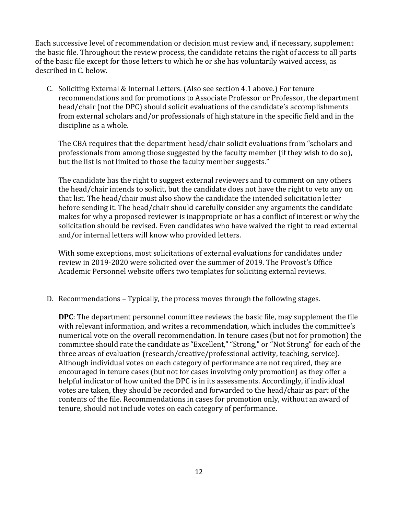Each successive level of recommendation or decision must review and, if necessary, supplement the basic file. Throughout the review process, the candidate retains the right of access to all parts of the basic file except for those letters to which he or she has voluntarily waived access, as described in C. below.

C. Soliciting External & Internal Letters. (Also see section 4.1 above.) For tenure recommendations and for promotions to Associate Professor or Professor, the department head/chair (not the DPC) should solicit evaluations of the candidate's accomplishments from external scholars and/or professionals of high stature in the specific field and in the discipline as a whole.

The CBA requires that the department head/chair solicit evaluations from "scholars and professionals from among those suggested by the faculty member (if they wish to do so), but the list is not limited to those the faculty member suggests."

The candidate has the right to suggest external reviewers and to comment on any others the head/chair intends to solicit, but the candidate does not have the right to veto any on that list. The head/chair must also show the candidate the intended solicitation letter before sending it. The head/chair should carefully consider any arguments the candidate makes for why a proposed reviewer is inappropriate or has a conflict of interest or why the solicitation should be revised. Even candidates who have waived the right to read external and/or internal letters will know who provided letters.

With some exceptions, most solicitations of external evaluations for candidates under review in 2019-2020 were solicited over the summer of 2019. The Provost's Office Academic Personnel website offers two templates for soliciting external reviews.

D. Recommendations – Typically, the process moves through the following stages.

**DPC**: The department personnel committee reviews the basic file, may supplement the file with relevant information, and writes a recommendation, which includes the committee's numerical vote on the overall recommendation. In tenure cases (but not for promotion) the committee should rate the candidate as "Excellent," "Strong," or "Not Strong" for each of the three areas of evaluation (research/creative/professional activity, teaching, service). Although individual votes on each category of performance are not required, they are encouraged in tenure cases (but not for cases involving only promotion) as they offer a helpful indicator of how united the DPC is in its assessments. Accordingly, if individual votes are taken, they should be recorded and forwarded to the head/chair as part of the contents of the file. Recommendations in cases for promotion only, without an award of tenure, should not include votes on each category of performance.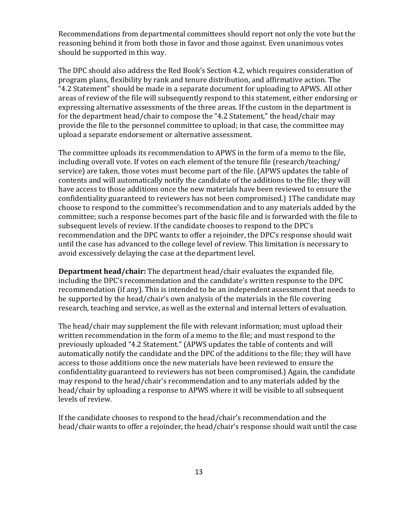Recommendations from departmental committees should report not only the vote but the reasoning behind it from both those in favor and those against. Even unanimous votes should be supported in this way.

The DPC should also address the Red Book's Section 4.2, which requires consideration of program plans, flexibility by rank and tenure distribution, and affirmative action. The "4.2 Statement" should be made in a separate document for uploading to APWS. All other areas of review of the file will subsequently respond to this statement, either endorsing or expressing alternative assessments of the three areas. If the custom in the department is for the department head/chair to compose the "4.2 Statement," the head/chair may provide the file to the personnel committee to upload; in that case, the committee may upload a separate endorsement or alternative assessment.

The committee uploads its recommendation to APWS in the form of a memo to the file, including overall vote. If votes on each element of the tenure file (research/teaching/ service) are taken, those votes must become part of the file. (APWS updates the table of contents and will automatically notify the candidate of the additions to the file; they will have access to those additions once the new materials have been reviewed to ensure the confidentiality guaranteed to reviewers has not been compromised.) 1The candidate may choose to respond to the committee's recommendation and to any materials added by the committee; such a response becomes part of the basic file and is forwarded with the file to subsequent levels of review. If the candidate chooses to respond to the DPC's recommendation and the DPC wants to offer a rejoinder, the DPC's response should wait until the case has advanced to the college level of review. This limitation is necessary to avoid excessively delaying the case at the department level.

**Department head/chair:** The department head/chair evaluates the expanded file, including the DPC's recommendation and the candidate's written response to the DPC recommendation (if any). This is intended to be an independent assessment that needs to be supported by the head/chair's own analysis of the materials in the file covering research, teaching and service, as well as the external and internal letters of evaluation.

The head/chair may supplement the file with relevant information; must upload their written recommendation in the form of a memo to the file; and must respond to the previously uploaded "4.2 Statement." (APWS updates the table of contents and will automatically notify the candidate and the DPC of the additions to the file; they will have access to those additions once the new materials have been reviewed to ensure the confidentiality guaranteed to reviewers has not been compromised.) Again, the candidate may respond to the head/chair's recommendation and to any materials added by the head/chair by uploading a response to APWS where it will be visible to all subsequent levels of review.

If the candidate chooses to respond to the head/chair's recommendation and the head/chair wants to offer a rejoinder, the head/chair's response should wait until the case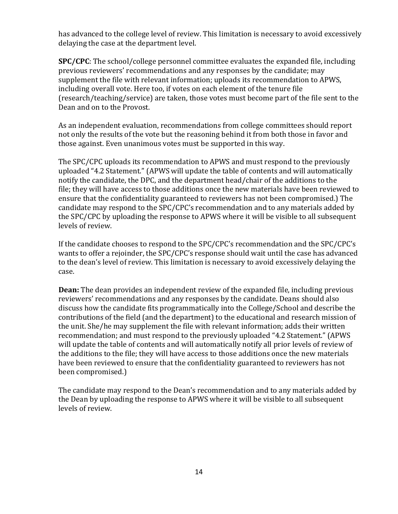has advanced to the college level of review. This limitation is necessary to avoid excessively delaying the case at the department level.

**SPC/CPC**: The school/college personnel committee evaluates the expanded file, including previous reviewers' recommendations and any responses by the candidate; may supplement the file with relevant information; uploads its recommendation to APWS, including overall vote. Here too, if votes on each element of the tenure file (research/teaching/service) are taken, those votes must become part of the file sent to the Dean and on to the Provost.

As an independent evaluation, recommendations from college committees should report not only the results of the vote but the reasoning behind it from both those in favor and those against. Even unanimous votes must be supported in this way.

The SPC/CPC uploads its recommendation to APWS and must respond to the previously uploaded "4.2 Statement." (APWS will update the table of contents and will automatically notify the candidate, the DPC, and the department head/chair of the additions to the file; they will have access to those additions once the new materials have been reviewed to ensure that the confidentiality guaranteed to reviewers has not been compromised.) The candidate may respond to the SPC/CPC's recommendation and to any materials added by the SPC/CPC by uploading the response to APWS where it will be visible to all subsequent levels of review.

If the candidate chooses to respond to the SPC/CPC's recommendation and the SPC/CPC's wants to offer a rejoinder, the SPC/CPC's response should wait until the case has advanced to the dean's level of review. This limitation is necessary to avoid excessively delaying the case.

**Dean:** The dean provides an independent review of the expanded file, including previous reviewers' recommendations and any responses by the candidate. Deans should also discuss how the candidate fits programmatically into the College/School and describe the contributions of the field (and the department) to the educational and research mission of the unit. She/he may supplement the file with relevant information; adds their written recommendation; and must respond to the previously uploaded "4.2 Statement." (APWS will update the table of contents and will automatically notify all prior levels of review of the additions to the file; they will have access to those additions once the new materials have been reviewed to ensure that the confidentiality guaranteed to reviewers has not been compromised.)

The candidate may respond to the Dean's recommendation and to any materials added by the Dean by uploading the response to APWS where it will be visible to all subsequent levels of review.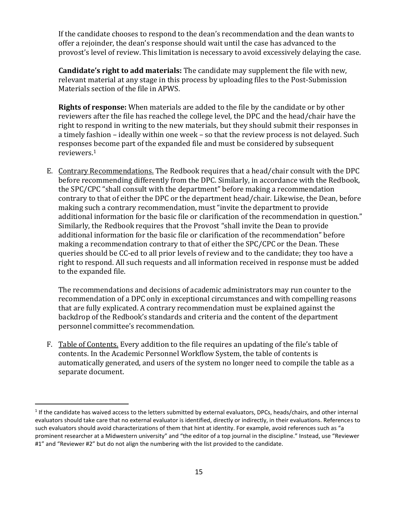If the candidate chooses to respond to the dean's recommendation and the dean wants to offer a rejoinder, the dean's response should wait until the case has advanced to the provost's level of review. This limitation is necessary to avoid excessively delaying the case.

**Candidate's right to add materials:** The candidate may supplement the file with new, relevant material at any stage in this process by uploading files to the Post-Submission Materials section of the file in APWS.

**Rights of response:** When materials are added to the file by the candidate or by other reviewers after the file has reached the college level, the DPC and the head/chair have the right to respond in writing to the new materials, but they should submit their responses in a timely fashion – ideally within one week – so that the review process is not delayed. Such responses [be](#page-14-0)come part of the expanded file and must be considered by subsequent reviewers.[1](#page-14-0)

E. Contrary Recommendations. The Redbook requires that a head/chair consult with the DPC before recommending differently from the DPC. Similarly, in accordance with the Redbook, the SPC/CPC "shall consult with the department" before making a recommendation contrary to that of either the DPC or the department head/chair. Likewise, the Dean, before making such a contrary recommendation, must "invite the department to provide additional information for the basic file or clarification of the recommendation in question." Similarly, the Redbook requires that the Provost "shall invite the Dean to provide additional information for the basic file or clarification of the recommendation" before making a recommendation contrary to that of either the SPC/CPC or the Dean. These queries should be CC-ed to all prior levels of review and to the candidate; they too have a right to respond. All such requests and all information received in response must be added to the expanded file.

The recommendations and decisions of academic administrators may run counter to the recommendation of a DPC only in exceptional circumstances and with compelling reasons that are fully explicated. A contrary recommendation must be explained against the backdrop of the Redbook's standards and criteria and the content of the department personnel committee's recommendation.

F. Table of Contents. Every addition to the file requires an updating of the file's table of contents. In the Academic Personnel Workflow System, the table of contents is automatically generated, and users of the system no longer need to compile the table as a separate document.

<span id="page-14-0"></span><sup>&</sup>lt;sup>1</sup> If the candidate has waived access to the letters submitted by external evaluators, DPCs, heads/chairs, and other internal evaluators should take care that no external evaluator is identified, directly or indirectly, in their evaluations. References to such evaluators should avoid characterizations of them that hint at identity. For example, avoid references such as "a prominent researcher at a Midwestern university" and "the editor of a top journal in the discipline." Instead, use "Reviewer #1" and "Reviewer #2" but do not align the numbering with the list provided to the candidate.